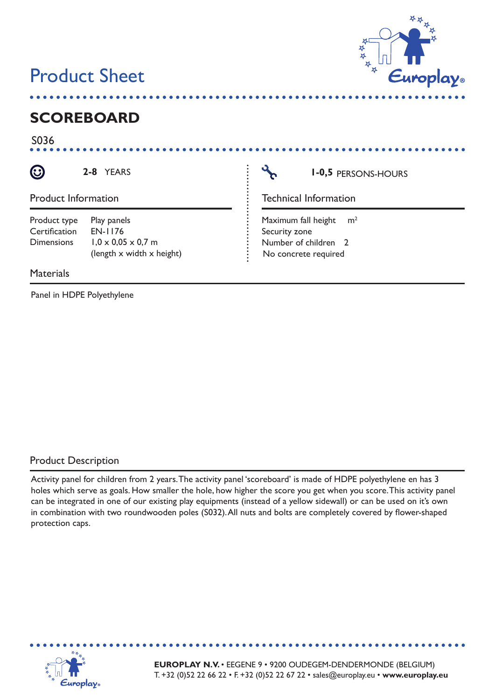# **Product Sheet**



## **SCOREBOARD**

S036

 $\odot$ 

**2-8**

**Browse**

**Browse**

Product Information

| Product type      | Play panels                    |
|-------------------|--------------------------------|
| Certification     | EN-1176                        |
| <b>Dimensions</b> | $1,0 \times 0,05 \times 0,7$ m |
|                   | (length x width x height)      |

**Materials** 

Panel in HDPE Polyethylene

YEARS **PERSONS-HOURS** 

**Back**

Technical Information

**Browse**

(length x width x height)  $\vdots$  No concrete required  $m<sup>2</sup>$ Maximum fall height Security zone Number of children 2

#### Product Description

Activity panel for children from 2 years. The activity panel 'scoreboard' is made of HDPE polyethylene en has 3 These icons were designed and are distributed for free by Go Squared  $\mu$  may use them as  $\mu$  may use them as  $\mu$ holes which serve as goals. How smaller the hole, how higher the score you get when you score. This activity panel can be integrated in one of our existing play equipments (instead of a yellow sidewall) or can be used on it's own in combination with two roundwooden poles (S032). All nuts and bolts are completely covered by flower-shaped protection caps.



**EUROPLAY N.V.** • EEGENE 9 • 9200 OUDEGEM-DENDERMONDE (BELGIUM) T. +32 (0)52 22 66 22 • F. +32 (0)52 22 67 22 • sales@europlay.eu • **www.europlay.eu**